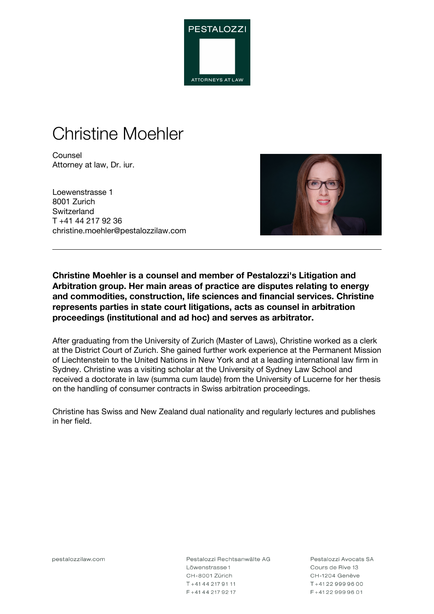

# Christine Moehler

**Counsel** Attorney at law, Dr. iur.

Loewenstrasse 1 8001 Zurich **Switzerland** T +41 44 217 92 36 christine.moehler@pestalozzilaw.com



**Christine Moehler is a counsel and member of Pestalozzi's Litigation and Arbitration group. Her main areas of practice are disputes relating to energy and commodities, construction, life sciences and financial services. Christine represents parties in state court litigations, acts as counsel in arbitration proceedings (institutional and ad hoc) and serves as arbitrator.**

After graduating from the University of Zurich (Master of Laws), Christine worked as a clerk at the District Court of Zurich. She gained further work experience at the Permanent Mission of Liechtenstein to the United Nations in New York and at a leading international law firm in Sydney. Christine was a visiting scholar at the University of Sydney Law School and received a doctorate in law (summa cum laude) from the University of Lucerne for her thesis on the handling of consumer contracts in Swiss arbitration proceedings.

Christine has Swiss and New Zealand dual nationality and regularly lectures and publishes in her field.

pestalozzilaw.com

Pestalozzi Rechtsanwälte AG Löwenstrasse 1 CH-8001 Zürich T+41442179111 F+41442179217

Pestalozzi Avocats SA Cours de Rive 13 CH-1204 Genève T+41229999600 F+41229999601